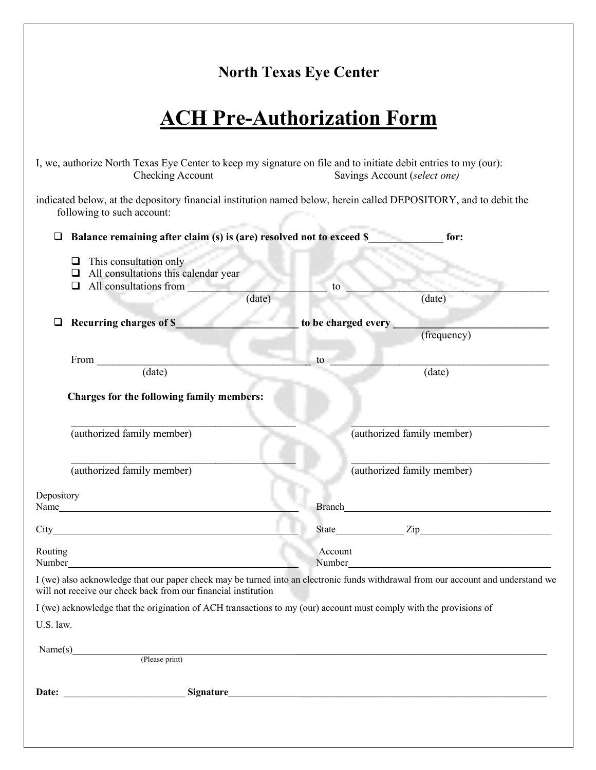## **North Texas Eye Center**

## **ACH Pre-Authorization Form**

| I, we, authorize North Texas Eye Center to keep my signature on file and to initiate debit entries to my (our):<br>Checking Account                                                                 |                     | Savings Account (select one)                                                                                                                                                                                                         |
|-----------------------------------------------------------------------------------------------------------------------------------------------------------------------------------------------------|---------------------|--------------------------------------------------------------------------------------------------------------------------------------------------------------------------------------------------------------------------------------|
| indicated below, at the depository financial institution named below, herein called DEPOSITORY, and to debit the<br>following to such account:                                                      |                     |                                                                                                                                                                                                                                      |
| Balance remaining after claim (s) is (are) resolved not to exceed \$<br>❏                                                                                                                           |                     | for:                                                                                                                                                                                                                                 |
| This consultation only<br>⊔<br>All consultations this calendar year<br>□<br>All consultations from<br>❏<br>(date)                                                                                   | to                  | (date)                                                                                                                                                                                                                               |
|                                                                                                                                                                                                     |                     |                                                                                                                                                                                                                                      |
| Recurring charges of \$                                                                                                                                                                             | to be charged every | (frequency)                                                                                                                                                                                                                          |
| From                                                                                                                                                                                                | to                  |                                                                                                                                                                                                                                      |
| $\overline{(date)}$                                                                                                                                                                                 |                     | (date)                                                                                                                                                                                                                               |
| <b>Charges for the following family members:</b><br>(authorized family member)                                                                                                                      |                     | (authorized family member)                                                                                                                                                                                                           |
| (authorized family member)                                                                                                                                                                          |                     | (authorized family member)                                                                                                                                                                                                           |
| Depository<br>Name                                                                                                                                                                                  |                     | Branch <u>and the second contract of the second contract of the second contract of the second contract of the second contract of the second contract of the second contract of the second contract of the second contract of the</u> |
|                                                                                                                                                                                                     |                     | State Zip                                                                                                                                                                                                                            |
| Routing<br>Number Number                                                                                                                                                                            | Account<br>Number_  | <u> 1980 - Johann Barn, mars ar breithinn ar chuid ann an t-Alban ann an t-Alban ann an t-Alban ann an t-Alban a</u>                                                                                                                 |
| I (we) also acknowledge that our paper check may be turned into an electronic funds withdrawal from our account and understand we<br>will not receive our check back from our financial institution |                     |                                                                                                                                                                                                                                      |
| I (we) acknowledge that the origination of ACH transactions to my (our) account must comply with the provisions of<br>U.S. law.                                                                     |                     |                                                                                                                                                                                                                                      |
|                                                                                                                                                                                                     |                     |                                                                                                                                                                                                                                      |
|                                                                                                                                                                                                     |                     |                                                                                                                                                                                                                                      |
|                                                                                                                                                                                                     |                     |                                                                                                                                                                                                                                      |